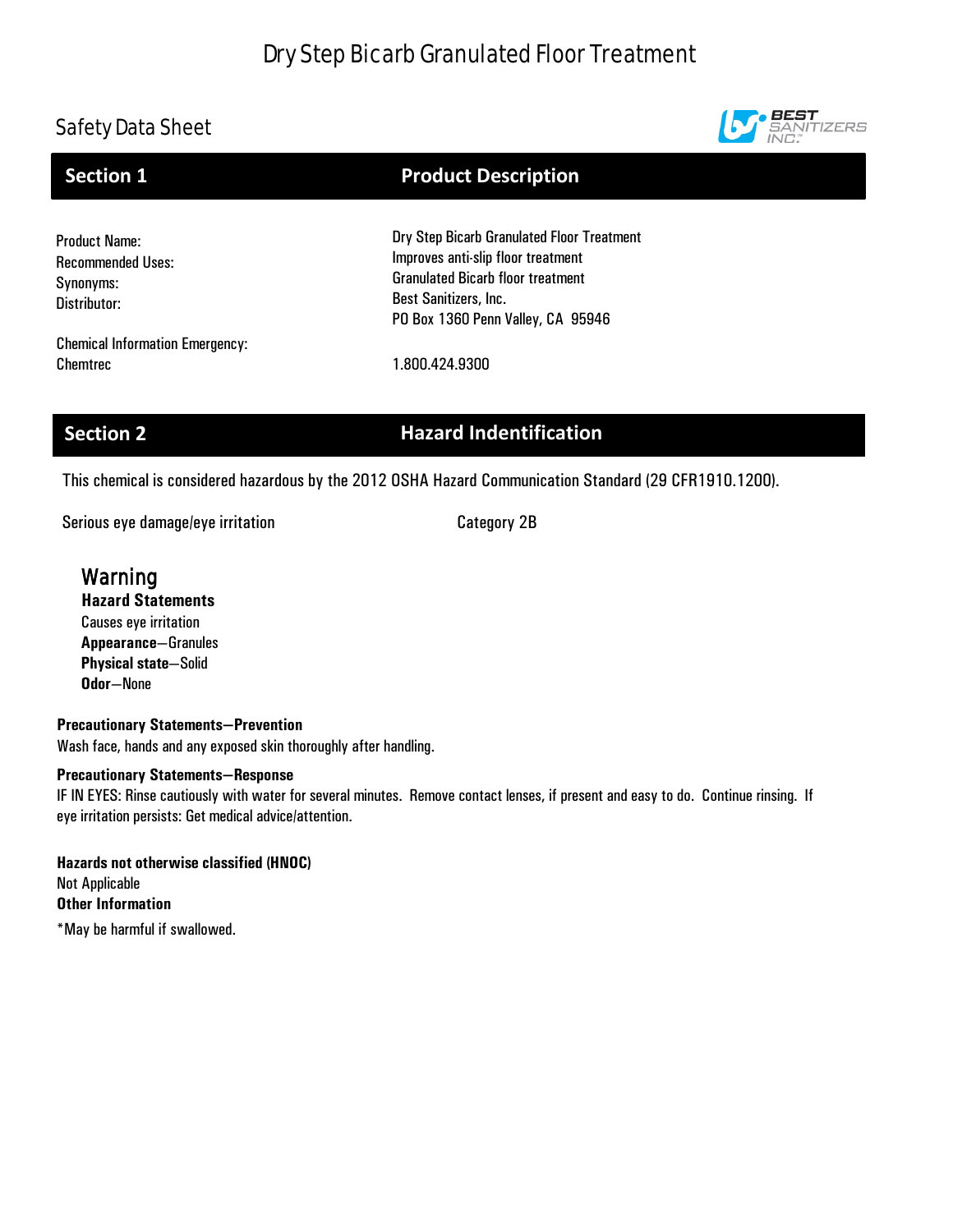# Dry Step Bicarb Granulated Floor Treatment

# Safety Data Sheet



### Product Name: Recommended Uses: Synonyms: Distributor: Dry Step Bicarb Granulated Floor Treatment Improves anti-slip floor treatment Granulated Bicarb floor treatment Best Sanitizers, Inc. **Section 1** Product Description

Chemical Information Emergency: Chemtrec 1.800.424.9300

# **Section 2 Hazard Indentification**

PO Box 1360 Penn Valley, CA 95946

This chemical is considered hazardous by the 2012 OSHA Hazard Communication Standard (29 CFR1910.1200).

Serious eye damage/eye irritation expansion control Category 2B

## **Warning**

## **Hazard Statements**

Causes eye irritation **Appearance**—Granules **Physical state**—Solid **Odor**—None

## **Precautionary Statements—Prevention**

Wash face, hands and any exposed skin thoroughly after handling.

## **Precautionary Statements—Response**

IF IN EYES: Rinse cautiously with water for several minutes. Remove contact lenses, if present and easy to do. Continue rinsing. If eye irritation persists: Get medical advice/attention.

**Hazards not otherwise classified (HNOC)** Not Applicable **Other Information** \*May be harmful if swallowed.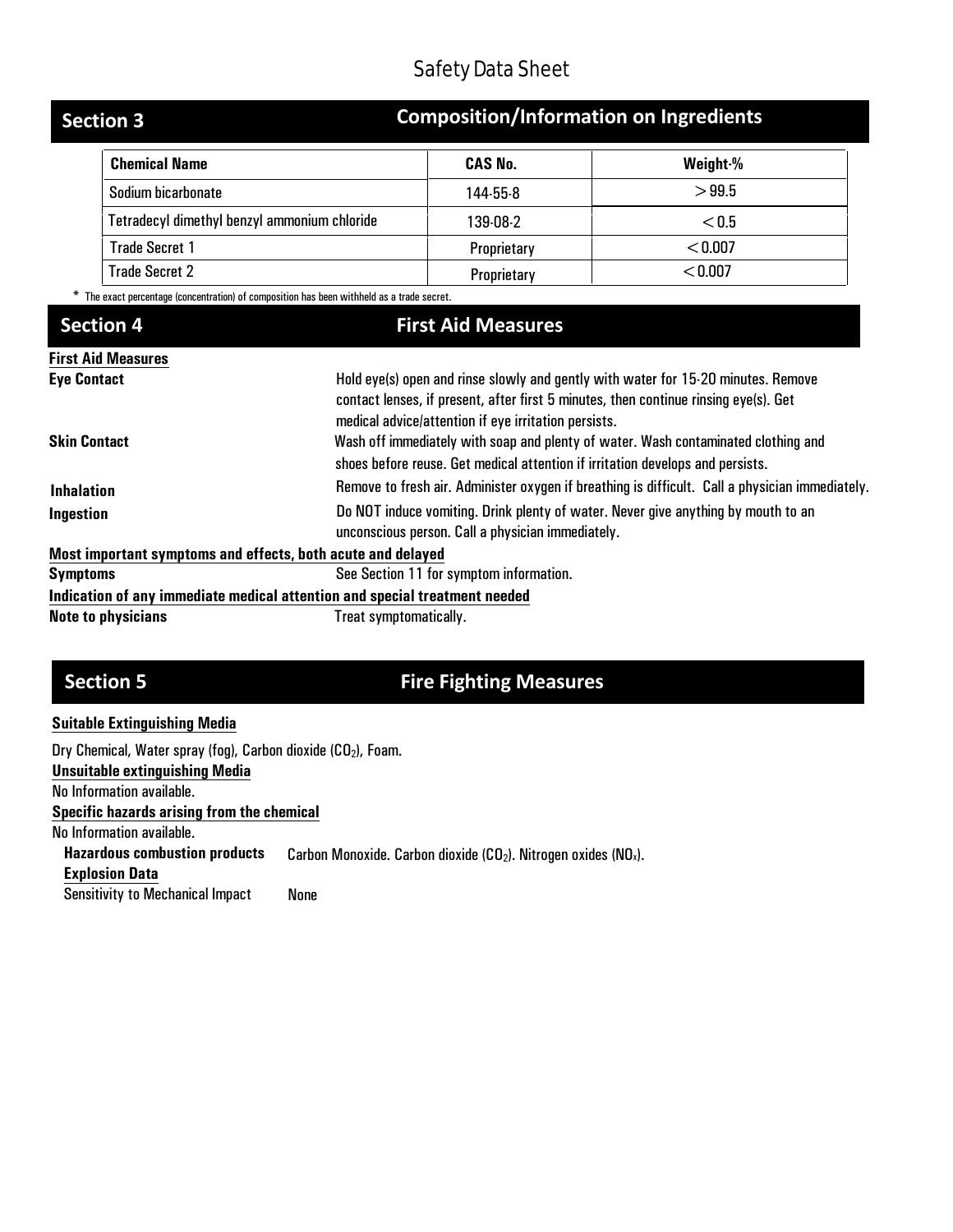| <b>Section 3</b>                             | <b>Composition/Information on Ingredients</b> |          |  |
|----------------------------------------------|-----------------------------------------------|----------|--|
| <b>Chemical Name</b>                         | <b>CAS No.</b>                                | Weight-% |  |
| Sodium bicarbonate                           | 144-55-8                                      | >99.5    |  |
| Tetradecyl dimethyl benzyl ammonium chloride | 139-08-2                                      | < 0.5    |  |
| <b>Trade Secret 1</b>                        | Proprietary                                   | < 0.007  |  |
| <b>Trade Secret 2</b>                        | Proprietary                                   | < 0.007  |  |

The exact percentage (concentration) of composition has been withheld as a trade secret.

# **Section 4 First Aid Measures**

| <b>First Aid Measures</b>                                   |                                                                                                                                                                                                                                   |
|-------------------------------------------------------------|-----------------------------------------------------------------------------------------------------------------------------------------------------------------------------------------------------------------------------------|
| <b>Eye Contact</b>                                          | Hold eye(s) open and rinse slowly and gently with water for 15-20 minutes. Remove<br>contact lenses, if present, after first 5 minutes, then continue rinsing eye(s). Get<br>medical advice/attention if eye irritation persists. |
| <b>Skin Contact</b>                                         | Wash off immediately with soap and plenty of water. Wash contaminated clothing and<br>shoes before reuse. Get medical attention if irritation develops and persists.                                                              |
| <b>Inhalation</b>                                           | Remove to fresh air. Administer oxygen if breathing is difficult. Call a physician immediately.                                                                                                                                   |
| Ingestion                                                   | Do NOT induce vomiting. Drink plenty of water. Never give anything by mouth to an<br>unconscious person. Call a physician immediately.                                                                                            |
| Most important symptoms and effects, both acute and delayed |                                                                                                                                                                                                                                   |
| <b>Symptoms</b>                                             | See Section 11 for symptom information.                                                                                                                                                                                           |
|                                                             | Indication of any immediate medical attention and special treatment needed                                                                                                                                                        |
| <b>Note to physicians</b>                                   | Treat symptomatically.                                                                                                                                                                                                            |

# **Section 5 Fire Fighting Measures**

## **Suitable Extinguishing Media**

| Dry Chemical, Water spray (fog), Carbon dioxide $(CO2)$ , Foam. |                                                                                |
|-----------------------------------------------------------------|--------------------------------------------------------------------------------|
| <b>Unsuitable extinguishing Media</b>                           |                                                                                |
| No Information available.                                       |                                                                                |
| Specific hazards arising from the chemical                      |                                                                                |
| No Information available.                                       |                                                                                |
| <b>Hazardous combustion products</b>                            | Carbon Monoxide. Carbon dioxide $(CO_2)$ . Nitrogen oxides (NO <sub>x</sub> ). |
| <b>Explosion Data</b>                                           |                                                                                |
| <b>Sensitivity to Mechanical Impact</b>                         | None                                                                           |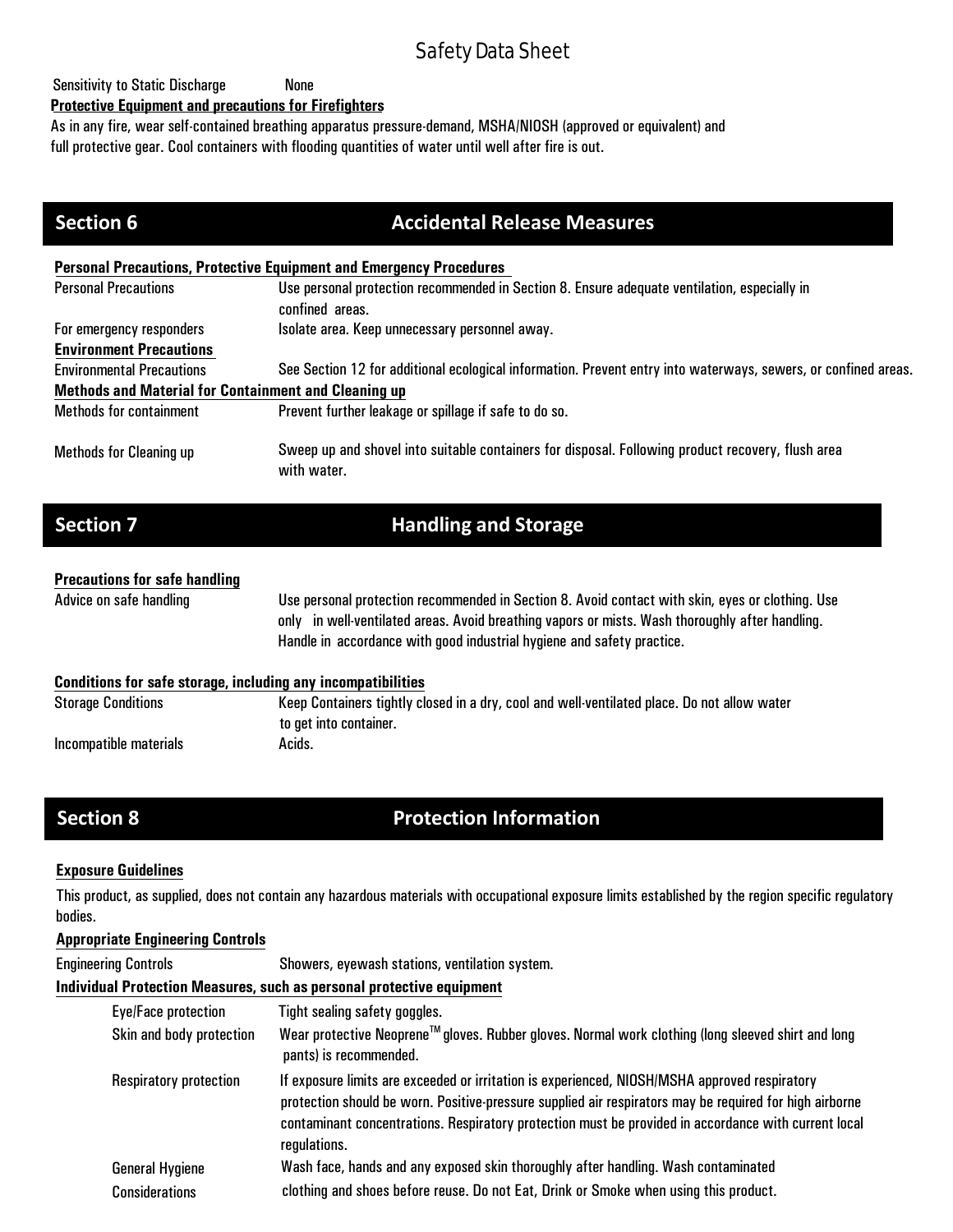## Sensitivity to Static Discharge Mone

## **Protective Equipment and precautions for Firefighters**

As in any fire, wear self-contained breathing apparatus pressure-demand, MSHA/NIOSH (approved or equivalent) and full protective gear. Cool containers with flooding quantities of water until well after fire is out.

| <b>Section 6</b>                                            | <b>Accidental Release Measures</b>                                                                               |
|-------------------------------------------------------------|------------------------------------------------------------------------------------------------------------------|
|                                                             | <b>Personal Precautions, Protective Equipment and Emergency Procedures</b>                                       |
| <b>Personal Precautions</b>                                 | Use personal protection recommended in Section 8. Ensure adequate ventilation, especially in<br>confined areas.  |
| For emergency responders                                    | Isolate area. Keep unnecessary personnel away.                                                                   |
| <b>Environment Precautions</b>                              |                                                                                                                  |
| <b>Environmental Precautions</b>                            | See Section 12 for additional ecological information. Prevent entry into waterways, sewers, or confined areas.   |
| <b>Methods and Material for Containment and Cleaning up</b> |                                                                                                                  |
| <b>Methods for containment</b>                              | Prevent further leakage or spillage if safe to do so.                                                            |
| <b>Methods for Cleaning up</b>                              | Sweep up and shovel into suitable containers for disposal. Following product recovery, flush area<br>with water. |

# **Section 7 Handling and Storage**

## **Precautions for safe handling**

Advice on safe handling Use personal protection recommended in Section 8. Avoid contact with skin, eyes orclothing. Use only in well-ventilated areas. Avoid breathing vapors or mists. Wash thoroughly after handling. Handle in accordance with good industrial hygiene and safety practice.

### **Conditions for safe storage, including any incompatibilities**

| <b>Storage Conditions</b> | Keep Containers tightly closed in a dry, cool and well-ventilated place. Do not allow water |
|---------------------------|---------------------------------------------------------------------------------------------|
|                           | to get into container.                                                                      |
| Incompatible materials    | Acids.                                                                                      |

# **Section 8 22 Protection Information**

## **Exposure Guidelines**

This product, as supplied, does not contain any hazardous materials with occupational exposure limits established by the region specific regulatory bodies.

## **Appropriate Engineering Controls**

| <b>Engineering Controls</b><br>Showers, eyewash stations, ventilation system. |  |
|-------------------------------------------------------------------------------|--|
|-------------------------------------------------------------------------------|--|

## **Individual Protection Measures, such as personal protective equipment**

| Eye/Face protection      | Tight sealing safety goggles.                                                                                                                                                                                                                                                                                                    |
|--------------------------|----------------------------------------------------------------------------------------------------------------------------------------------------------------------------------------------------------------------------------------------------------------------------------------------------------------------------------|
| Skin and body protection | Wear protective Neoprene™ gloves. Rubber gloves. Normal work clothing (long sleeved shirt and long<br>pants) is recommended.                                                                                                                                                                                                     |
| Respiratory protection   | If exposure limits are exceeded or irritation is experienced, NIOSH/MSHA approved respiratory<br>protection should be worn. Positive-pressure supplied air respirators may be required for high airborne<br>contaminant concentrations. Respiratory protection must be provided in accordance with current local<br>regulations. |
| <b>General Hygiene</b>   | Wash face, hands and any exposed skin thoroughly after handling. Wash contaminated                                                                                                                                                                                                                                               |
| <b>Considerations</b>    | clothing and shoes before reuse. Do not Eat, Drink or Smoke when using this product.                                                                                                                                                                                                                                             |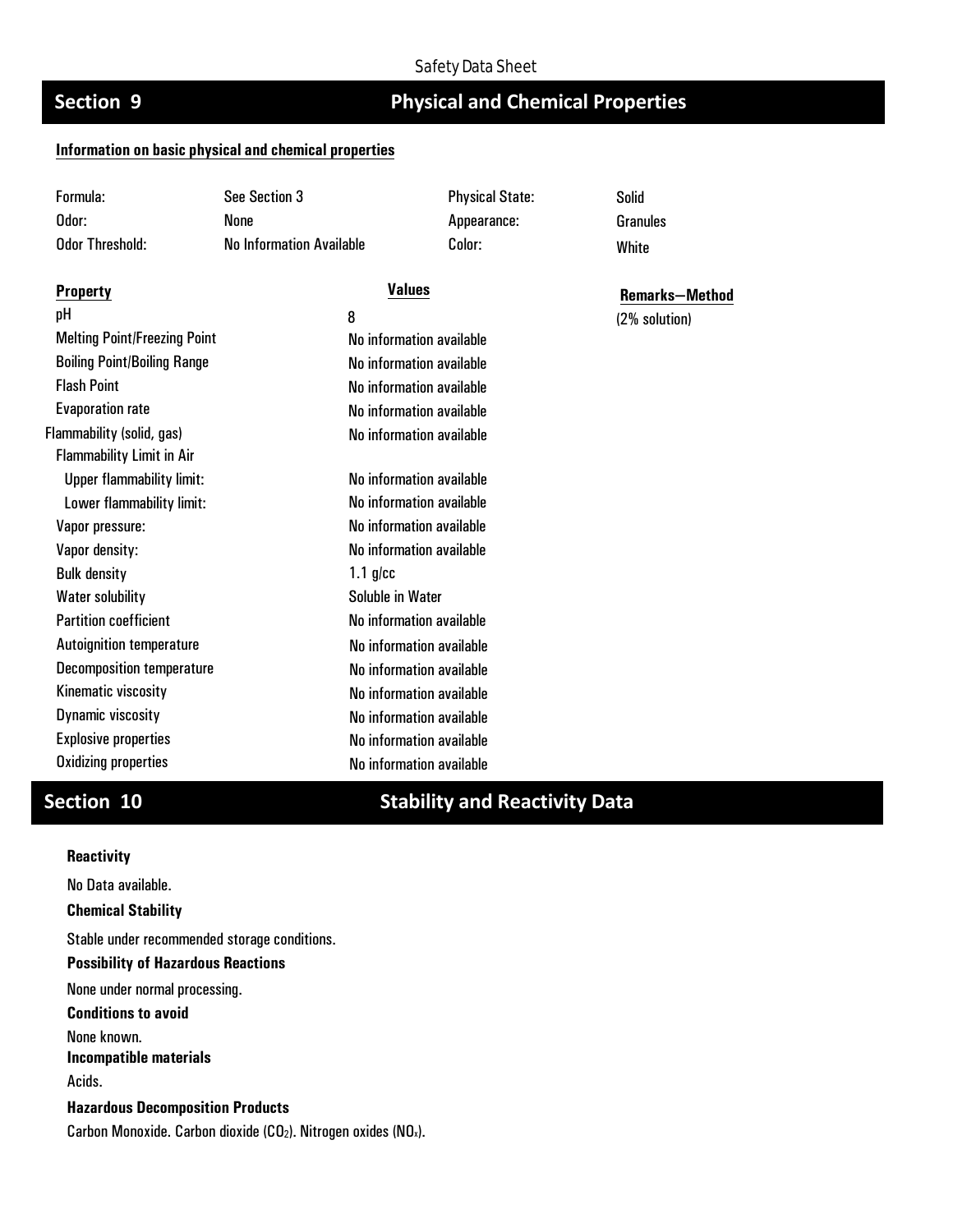# **Section 9 Physical and Chemical Properties**

## **Information on basic physical and chemical properties**

| Formula:                            | See Section 3                   |                          | <b>Physical State:</b> | <b>Solid</b>          |
|-------------------------------------|---------------------------------|--------------------------|------------------------|-----------------------|
| Odor:                               | <b>None</b>                     |                          | Appearance:            | <b>Granules</b>       |
| <b>Odor Threshold:</b>              | <b>No Information Available</b> |                          | Color:                 | White                 |
| <b>Property</b>                     |                                 | <b>Values</b>            |                        | <b>Remarks-Method</b> |
| pH                                  |                                 | 8                        |                        | (2% solution)         |
| <b>Melting Point/Freezing Point</b> |                                 | No information available |                        |                       |
| <b>Boiling Point/Boiling Range</b>  |                                 | No information available |                        |                       |
| <b>Flash Point</b>                  |                                 | No information available |                        |                       |
| <b>Evaporation rate</b>             |                                 | No information available |                        |                       |
| Flammability (solid, gas)           |                                 | No information available |                        |                       |
| <b>Flammability Limit in Air</b>    |                                 |                          |                        |                       |
| <b>Upper flammability limit:</b>    |                                 | No information available |                        |                       |
| Lower flammability limit:           |                                 | No information available |                        |                       |
| Vapor pressure:                     |                                 | No information available |                        |                       |
| Vapor density:                      |                                 | No information available |                        |                       |
| <b>Bulk density</b>                 |                                 | $1.1$ g/cc               |                        |                       |
| <b>Water solubility</b>             |                                 | Soluble in Water         |                        |                       |
| <b>Partition coefficient</b>        |                                 | No information available |                        |                       |
| <b>Autoignition temperature</b>     |                                 | No information available |                        |                       |
| <b>Decomposition temperature</b>    |                                 | No information available |                        |                       |
| Kinematic viscosity                 |                                 | No information available |                        |                       |
| Dynamic viscosity                   |                                 | No information available |                        |                       |
| <b>Explosive properties</b>         |                                 | No information available |                        |                       |
| <b>Oxidizing properties</b>         |                                 | No information available |                        |                       |

# **Section 10 Stability and Reactivity Data**

## **Reactivity**

No Data available.

**Chemical Stability**

Stable under recommended storage conditions. **Possibility of Hazardous Reactions**  None under normal processing. **Conditions to avoid**

None known.

**Incompatible materials**

Acids.

**Hazardous Decomposition Products** Carbon Monoxide. Carbon dioxide (CO<sub>2</sub>). Nitrogen oxides (NO<sub>x</sub>).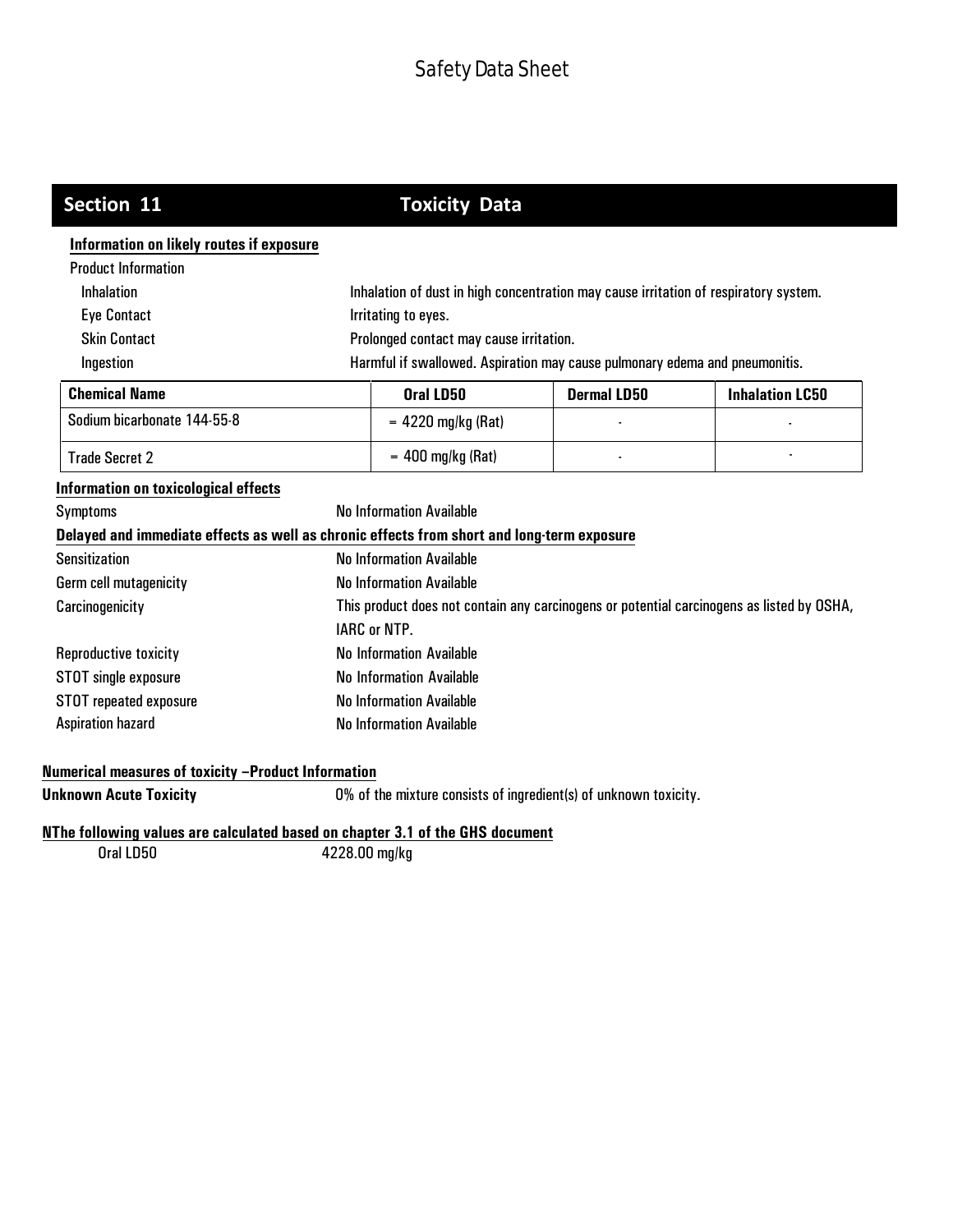| Section 11                                                                                 | <b>Toxicity Data</b>                                                                      |                                                                                      |                    |                        |
|--------------------------------------------------------------------------------------------|-------------------------------------------------------------------------------------------|--------------------------------------------------------------------------------------|--------------------|------------------------|
| Information on likely routes if exposure                                                   |                                                                                           |                                                                                      |                    |                        |
| <b>Product Information</b>                                                                 |                                                                                           |                                                                                      |                    |                        |
| Inhalation                                                                                 |                                                                                           | Inhalation of dust in high concentration may cause irritation of respiratory system. |                    |                        |
| <b>Eye Contact</b>                                                                         |                                                                                           | Irritating to eyes.                                                                  |                    |                        |
| <b>Skin Contact</b>                                                                        |                                                                                           | Prolonged contact may cause irritation.                                              |                    |                        |
| Ingestion                                                                                  |                                                                                           | Harmful if swallowed. Aspiration may cause pulmonary edema and pneumonitis.          |                    |                        |
| <b>Chemical Name</b>                                                                       |                                                                                           | Oral LD50                                                                            | <b>Dermal LD50</b> | <b>Inhalation LC50</b> |
| Sodium bicarbonate 144-55-8                                                                |                                                                                           | $= 4220$ mg/kg (Rat)                                                                 |                    |                        |
| <b>Trade Secret 2</b>                                                                      |                                                                                           | $= 400$ mg/kg (Rat)                                                                  |                    |                        |
| Information on toxicological effects                                                       |                                                                                           |                                                                                      |                    |                        |
| Symptoms                                                                                   |                                                                                           | <b>No Information Available</b>                                                      |                    |                        |
| Delayed and immediate effects as well as chronic effects from short and long-term exposure |                                                                                           |                                                                                      |                    |                        |
| <b>Sensitization</b>                                                                       |                                                                                           | <b>No Information Available</b>                                                      |                    |                        |
| Germ cell mutagenicity                                                                     | <b>No Information Available</b>                                                           |                                                                                      |                    |                        |
| Carcinogenicity                                                                            | This product does not contain any carcinogens or potential carcinogens as listed by OSHA, |                                                                                      |                    |                        |
|                                                                                            |                                                                                           | <b>IARC or NTP.</b>                                                                  |                    |                        |
| Reproductive toxicity                                                                      |                                                                                           | No Information Available                                                             |                    |                        |
| STOT single exposure                                                                       | <b>No Information Available</b>                                                           |                                                                                      |                    |                        |
| STOT repeated exposure                                                                     | <b>No Information Available</b>                                                           |                                                                                      |                    |                        |
| <b>Aspiration hazard</b>                                                                   | <b>No Information Available</b>                                                           |                                                                                      |                    |                        |
| Numerical measures of toxicity -Product Information                                        |                                                                                           |                                                                                      |                    |                        |
| <b>Unknown Acute Toxicity</b>                                                              |                                                                                           | 0% of the mixture consists of ingredient(s) of unknown toxicity.                     |                    |                        |
| NThe following values are calculated based on chapter 3.1 of the GHS document              |                                                                                           |                                                                                      |                    |                        |
| Oral LD50                                                                                  | 4228.00 mg/kg                                                                             |                                                                                      |                    |                        |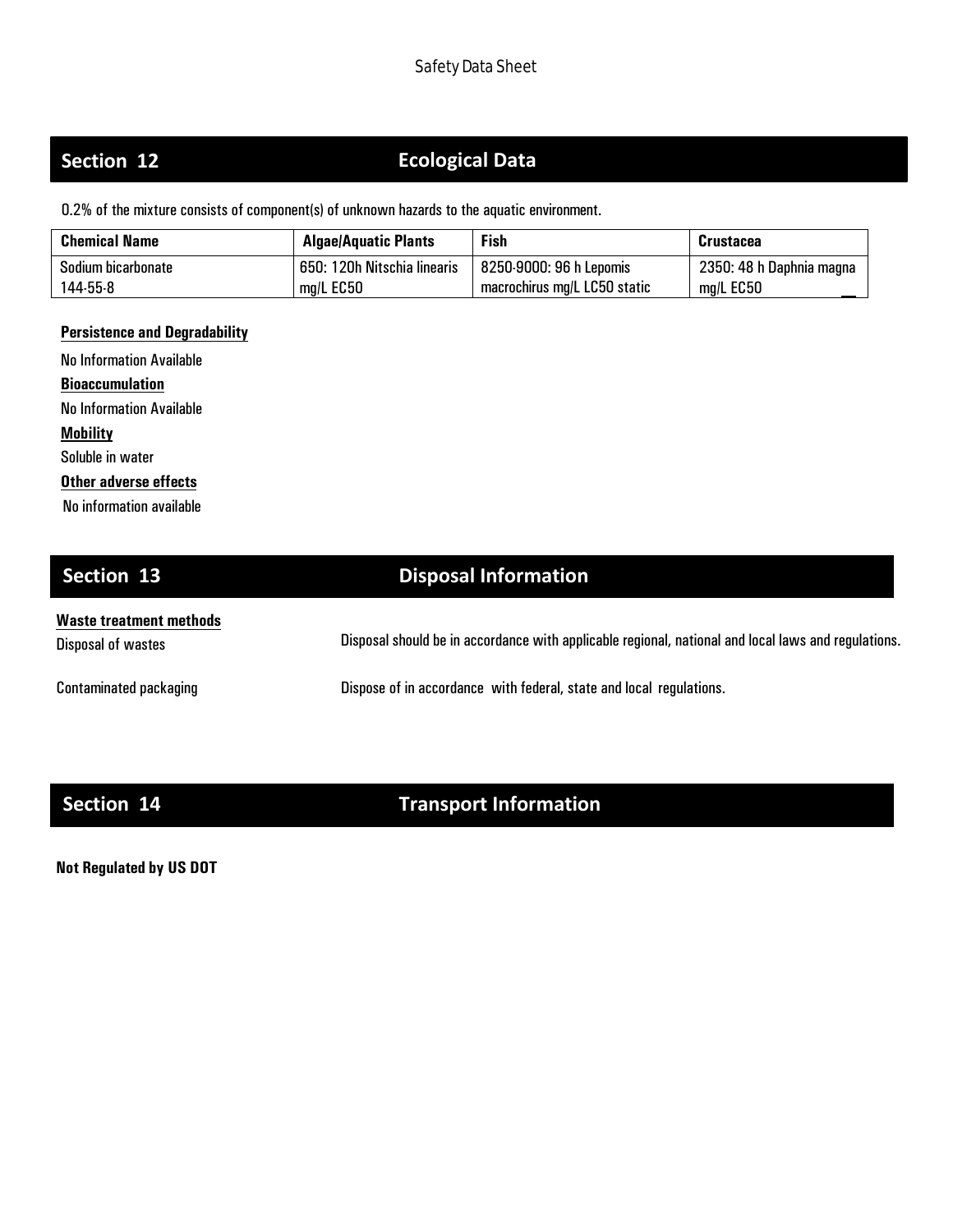# **Section 12**

# **Section 12 Ecological Data**

0.2% of the mixture consists of component(s) of unknown hazards to the aquatic environment.

| <b>Chemical Name</b> | <b>Algae/Aquatic Plants</b> | <b>Fish</b>                  | <b>Crustacea</b>         |
|----------------------|-----------------------------|------------------------------|--------------------------|
| Sodium bicarbonate   | 650: 120h Nitschia linearis | 8250-9000: 96 h Lepomis      | 2350: 48 h Daphnia magna |
| 144-55-8             | mg/L EC50                   | macrochirus mg/L LC50 static | $mg/L$ EC50              |

## **Persistence and Degradability**

No Information Available **Bioaccumulation** No Information Available **Mobility** Soluble in water **Other adverse effects** No information available

# **Section 13 Disposal Information**

| Waste treatment methods       |                                                                                                     |
|-------------------------------|-----------------------------------------------------------------------------------------------------|
| Disposal of wastes            | Disposal should be in accordance with applicable regional, national and local laws and regulations. |
|                               |                                                                                                     |
| <b>Contaminated packaging</b> | Dispose of in accordance with federal, state and local regulations.                                 |

# **Section 14 Transport Information**

**Not Regulated by US DOT**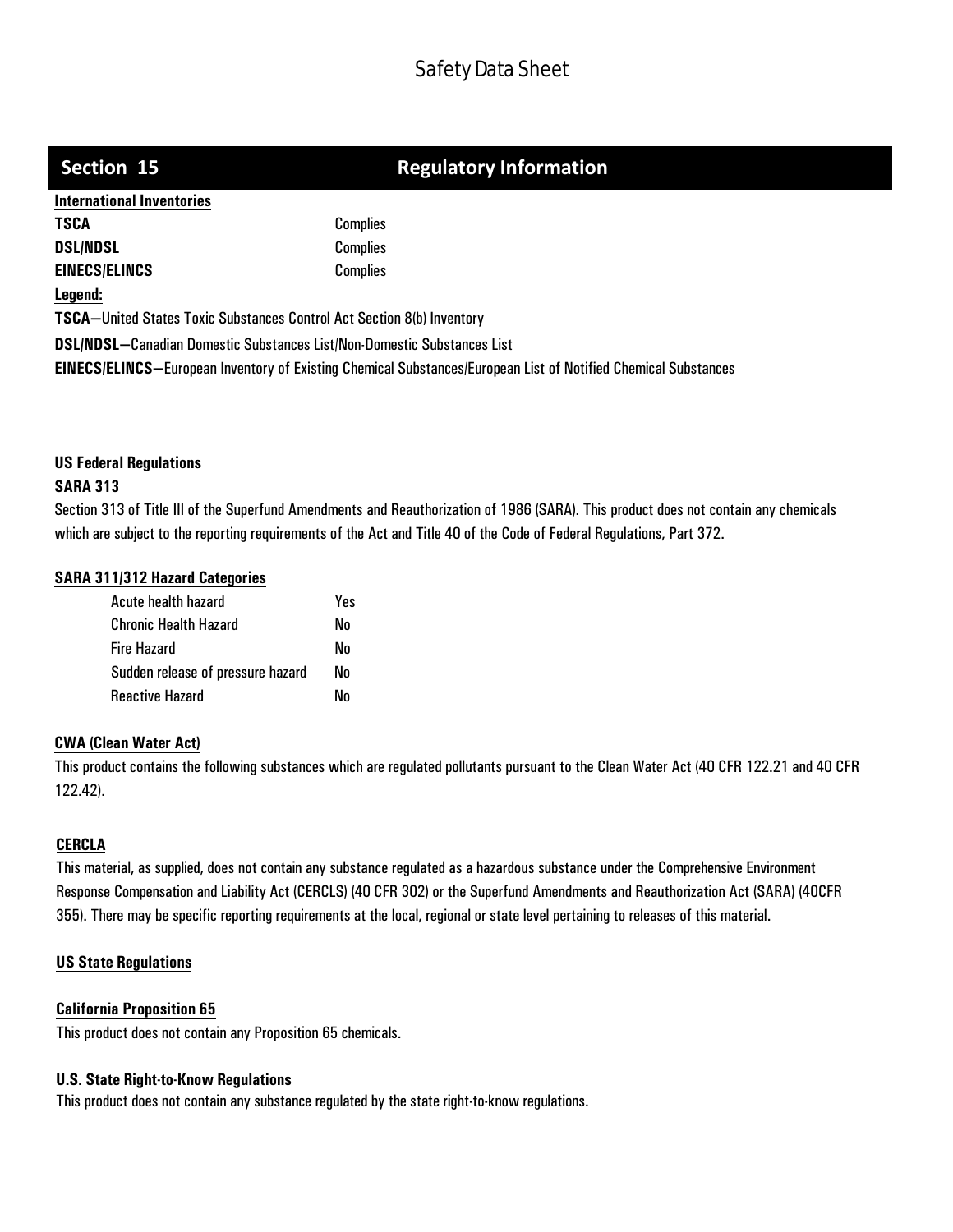# **Section 15 Regulatory Information**

| <b>International Inventories</b>                                               |                                                                                                                        |
|--------------------------------------------------------------------------------|------------------------------------------------------------------------------------------------------------------------|
| <b>TSCA</b>                                                                    | <b>Complies</b>                                                                                                        |
| <b>DSL/NDSL</b>                                                                | <b>Complies</b>                                                                                                        |
| <b>EINECS/ELINCS</b>                                                           | <b>Complies</b>                                                                                                        |
| Legend:                                                                        |                                                                                                                        |
| <b>TSCA-United States Toxic Substances Control Act Section 8(b) Inventory</b>  |                                                                                                                        |
| <b>DSL/NDSL-Canadian Domestic Substances List/Non-Domestic Substances List</b> |                                                                                                                        |
|                                                                                | <b>EINECS/ELINCS</b> —European Inventory of Existing Chemical Substances/European List of Notified Chemical Substances |

## **US Federal Regulations**

## **SARA 313**

Section 313 of Title III of the Superfund Amendments and Reauthorization of 1986 (SARA). This product does not contain any chemicals which are subject to the reporting requirements of the Act and Title 40 of the Code of Federal Regulations, Part 372.

## **SARA 311/312 Hazard Categories**

| Acute health hazard               | Yes |
|-----------------------------------|-----|
| <b>Chronic Health Hazard</b>      | Nn  |
| <b>Fire Hazard</b>                | Nο  |
| Sudden release of pressure hazard | Nn  |
| <b>Reactive Hazard</b>            | Nn  |

### **CWA (Clean Water Act)**

This product contains the following substances which are regulated pollutants pursuant to the Clean Water Act (40 CFR 122.21 and 40 CFR 122.42).

## **CERCLA**

This material, as supplied, does not contain any substance regulated as a hazardous substance under the Comprehensive Environment Response Compensation and Liability Act (CERCLS) (40 CFR 302) or the Superfund Amendments and Reauthorization Act (SARA) (40CFR 355). There may be specific reporting requirements at the local, regional or state level pertaining to releases of this material.

## **US State Regulations**

## **California Proposition 65**

This product does not contain any Proposition 65 chemicals.

### **U.S. State Right-to-Know Regulations**

This product does not contain any substance regulated by the state right-to-know regulations.